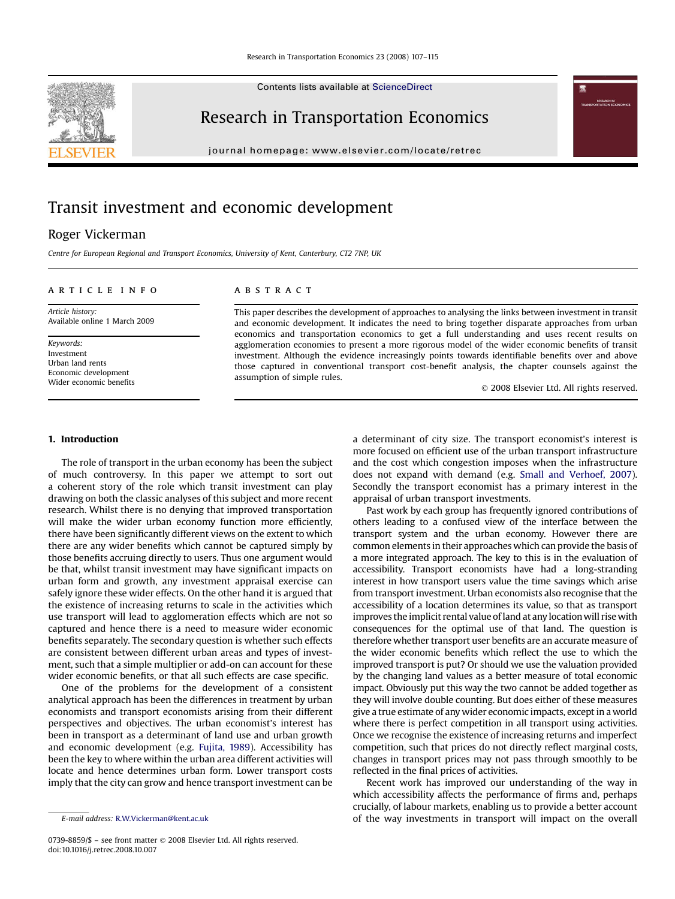Contents lists available at [ScienceDirect](www.sciencedirect.com/science/journal/07398859)

## Research in Transportation Economics

journal homepage: [www.elsevier.com/locate/retrec](http://www.elsevier.com/locate/retrec)

## Transit investment and economic development

### Roger Vickerman

Centre for European Regional and Transport Economics, University of Kent, Canterbury, CT2 7NP, UK

#### article info

Article history: Available online 1 March 2009

Keywords: Investment Urban land rents Economic development Wider economic benefits

#### **ABSTRACT**

This paper describes the development of approaches to analysing the links between investment in transit and economic development. It indicates the need to bring together disparate approaches from urban economics and transportation economics to get a full understanding and uses recent results on agglomeration economies to present a more rigorous model of the wider economic benefits of transit investment. Although the evidence increasingly points towards identifiable benefits over and above those captured in conventional transport cost-benefit analysis, the chapter counsels against the assumption of simple rules.

- 2008 Elsevier Ltd. All rights reserved.

#### 1. Introduction

The role of transport in the urban economy has been the subject of much controversy. In this paper we attempt to sort out a coherent story of the role which transit investment can play drawing on both the classic analyses of this subject and more recent research. Whilst there is no denying that improved transportation will make the wider urban economy function more efficiently, there have been significantly different views on the extent to which there are any wider benefits which cannot be captured simply by those benefits accruing directly to users. Thus one argument would be that, whilst transit investment may have significant impacts on urban form and growth, any investment appraisal exercise can safely ignore these wider effects. On the other hand it is argued that the existence of increasing returns to scale in the activities which use transport will lead to agglomeration effects which are not so captured and hence there is a need to measure wider economic benefits separately. The secondary question is whether such effects are consistent between different urban areas and types of investment, such that a simple multiplier or add-on can account for these wider economic benefits, or that all such effects are case specific.

One of the problems for the development of a consistent analytical approach has been the differences in treatment by urban economists and transport economists arising from their different perspectives and objectives. The urban economist's interest has been in transport as a determinant of land use and urban growth and economic development (e.g. [Fujita, 1989\)](#page--1-0). Accessibility has been the key to where within the urban area different activities will locate and hence determines urban form. Lower transport costs imply that the city can grow and hence transport investment can be

a determinant of city size. The transport economist's interest is more focused on efficient use of the urban transport infrastructure and the cost which congestion imposes when the infrastructure does not expand with demand (e.g. [Small and Verhoef, 2007\)](#page--1-0). Secondly the transport economist has a primary interest in the appraisal of urban transport investments.

Past work by each group has frequently ignored contributions of others leading to a confused view of the interface between the transport system and the urban economy. However there are common elements in their approaches which can provide the basis of a more integrated approach. The key to this is in the evaluation of accessibility. Transport economists have had a long-stranding interest in how transport users value the time savings which arise from transport investment. Urban economists also recognise that the accessibility of a location determines its value, so that as transport improves the implicit rental value of land at any location will rise with consequences for the optimal use of that land. The question is therefore whether transport user benefits are an accurate measure of the wider economic benefits which reflect the use to which the improved transport is put? Or should we use the valuation provided by the changing land values as a better measure of total economic impact. Obviously put this way the two cannot be added together as they will involve double counting. But does either of these measures give a true estimate of any wider economic impacts, except in a world where there is perfect competition in all transport using activities. Once we recognise the existence of increasing returns and imperfect competition, such that prices do not directly reflect marginal costs, changes in transport prices may not pass through smoothly to be reflected in the final prices of activities.

Recent work has improved our understanding of the way in which accessibility affects the performance of firms and, perhaps crucially, of labour markets, enabling us to provide a better account E-mail address: [R.W.Vickerman@kent.ac.uk](mailto:R.W.Vickerman@kent.ac.uk) of the way investments in transport will impact on the overall





<sup>0739-8859/\$ –</sup> see front matter © 2008 Elsevier Ltd. All rights reserved. doi:10.1016/j.retrec.2008.10.007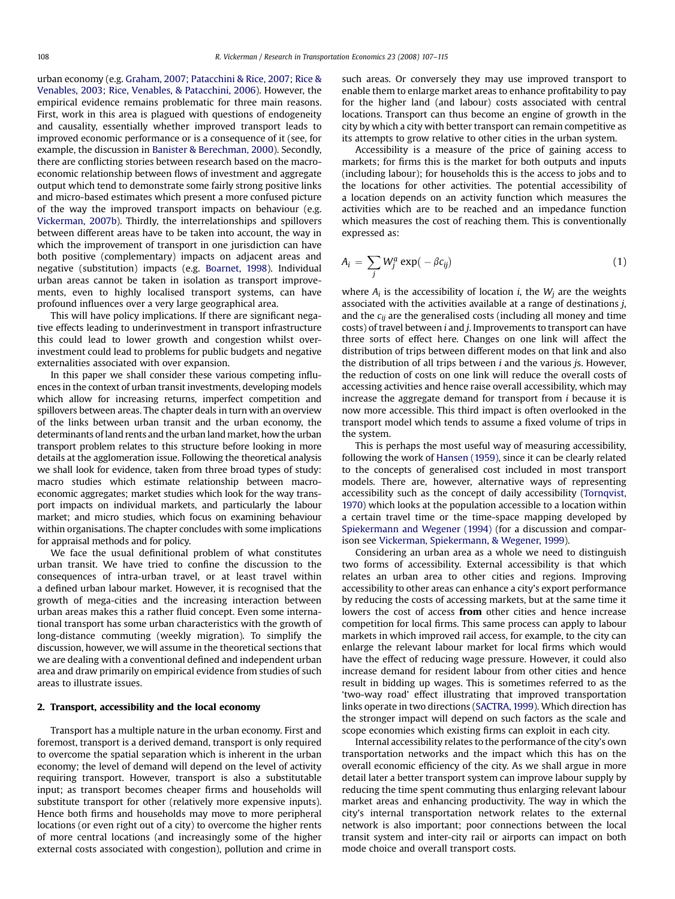urban economy (e.g. [Graham, 2007; Patacchini & Rice, 2007; Rice &](#page--1-0) [Venables, 2003; Rice, Venables, & Patacchini, 2006\)](#page--1-0). However, the empirical evidence remains problematic for three main reasons. First, work in this area is plagued with questions of endogeneity and causality, essentially whether improved transport leads to improved economic performance or is a consequence of it (see, for example, the discussion in [Banister & Berechman, 2000](#page--1-0)). Secondly, there are conflicting stories between research based on the macroeconomic relationship between flows of investment and aggregate output which tend to demonstrate some fairly strong positive links and micro-based estimates which present a more confused picture of the way the improved transport impacts on behaviour (e.g. [Vickerman, 2007b\)](#page--1-0). Thirdly, the interrelationships and spillovers between different areas have to be taken into account, the way in which the improvement of transport in one jurisdiction can have both positive (complementary) impacts on adjacent areas and negative (substitution) impacts (e.g. [Boarnet, 1998\)](#page--1-0). Individual urban areas cannot be taken in isolation as transport improvements, even to highly localised transport systems, can have profound influences over a very large geographical area.

This will have policy implications. If there are significant negative effects leading to underinvestment in transport infrastructure this could lead to lower growth and congestion whilst overinvestment could lead to problems for public budgets and negative externalities associated with over expansion.

In this paper we shall consider these various competing influences in the context of urban transit investments, developing models which allow for increasing returns, imperfect competition and spillovers between areas. The chapter deals in turn with an overview of the links between urban transit and the urban economy, the determinants of land rents and the urban land market, how the urban transport problem relates to this structure before looking in more details at the agglomeration issue. Following the theoretical analysis we shall look for evidence, taken from three broad types of study: macro studies which estimate relationship between macroeconomic aggregates; market studies which look for the way transport impacts on individual markets, and particularly the labour market; and micro studies, which focus on examining behaviour within organisations. The chapter concludes with some implications for appraisal methods and for policy.

We face the usual definitional problem of what constitutes urban transit. We have tried to confine the discussion to the consequences of intra-urban travel, or at least travel within a defined urban labour market. However, it is recognised that the growth of mega-cities and the increasing interaction between urban areas makes this a rather fluid concept. Even some international transport has some urban characteristics with the growth of long-distance commuting (weekly migration). To simplify the discussion, however, we will assume in the theoretical sections that we are dealing with a conventional defined and independent urban area and draw primarily on empirical evidence from studies of such areas to illustrate issues.

#### 2. Transport, accessibility and the local economy

Transport has a multiple nature in the urban economy. First and foremost, transport is a derived demand, transport is only required to overcome the spatial separation which is inherent in the urban economy; the level of demand will depend on the level of activity requiring transport. However, transport is also a substitutable input; as transport becomes cheaper firms and households will substitute transport for other (relatively more expensive inputs). Hence both firms and households may move to more peripheral locations (or even right out of a city) to overcome the higher rents of more central locations (and increasingly some of the higher external costs associated with congestion), pollution and crime in such areas. Or conversely they may use improved transport to enable them to enlarge market areas to enhance profitability to pay for the higher land (and labour) costs associated with central locations. Transport can thus become an engine of growth in the city by which a city with better transport can remain competitive as its attempts to grow relative to other cities in the urban system.

Accessibility is a measure of the price of gaining access to markets; for firms this is the market for both outputs and inputs (including labour); for households this is the access to jobs and to the locations for other activities. The potential accessibility of a location depends on an activity function which measures the activities which are to be reached and an impedance function which measures the cost of reaching them. This is conventionally expressed as:

$$
A_i = \sum_j W_j^a \exp(-\beta c_{ij})
$$
 (1)

where  $A_i$  is the accessibility of location *i*, the  $W_i$  are the weights associated with the activities available at a range of destinations j, and the  $c_{ii}$  are the generalised costs (including all money and time costs) of travel between i and j. Improvements to transport can have three sorts of effect here. Changes on one link will affect the distribution of trips between different modes on that link and also the distribution of all trips between  $i$  and the various  $i$ s. However, the reduction of costs on one link will reduce the overall costs of accessing activities and hence raise overall accessibility, which may increase the aggregate demand for transport from i because it is now more accessible. This third impact is often overlooked in the transport model which tends to assume a fixed volume of trips in the system.

This is perhaps the most useful way of measuring accessibility, following the work of [Hansen \(1959\),](#page--1-0) since it can be clearly related to the concepts of generalised cost included in most transport models. There are, however, alternative ways of representing accessibility such as the concept of daily accessibility [\(Tornqvist,](#page--1-0) [1970\)](#page--1-0) which looks at the population accessible to a location within a certain travel time or the time-space mapping developed by [Spiekermann and Wegener \(1994\)](#page--1-0) (for a discussion and comparison see [Vickerman, Spiekermann, & Wegener, 1999](#page--1-0)).

Considering an urban area as a whole we need to distinguish two forms of accessibility. External accessibility is that which relates an urban area to other cities and regions. Improving accessibility to other areas can enhance a city's export performance by reducing the costs of accessing markets, but at the same time it lowers the cost of access from other cities and hence increase competition for local firms. This same process can apply to labour markets in which improved rail access, for example, to the city can enlarge the relevant labour market for local firms which would have the effect of reducing wage pressure. However, it could also increase demand for resident labour from other cities and hence result in bidding up wages. This is sometimes referred to as the 'two-way road' effect illustrating that improved transportation links operate in two directions ([SACTRA, 1999](#page--1-0)). Which direction has the stronger impact will depend on such factors as the scale and scope economies which existing firms can exploit in each city.

Internal accessibility relates to the performance of the city's own transportation networks and the impact which this has on the overall economic efficiency of the city. As we shall argue in more detail later a better transport system can improve labour supply by reducing the time spent commuting thus enlarging relevant labour market areas and enhancing productivity. The way in which the city's internal transportation network relates to the external network is also important; poor connections between the local transit system and inter-city rail or airports can impact on both mode choice and overall transport costs.